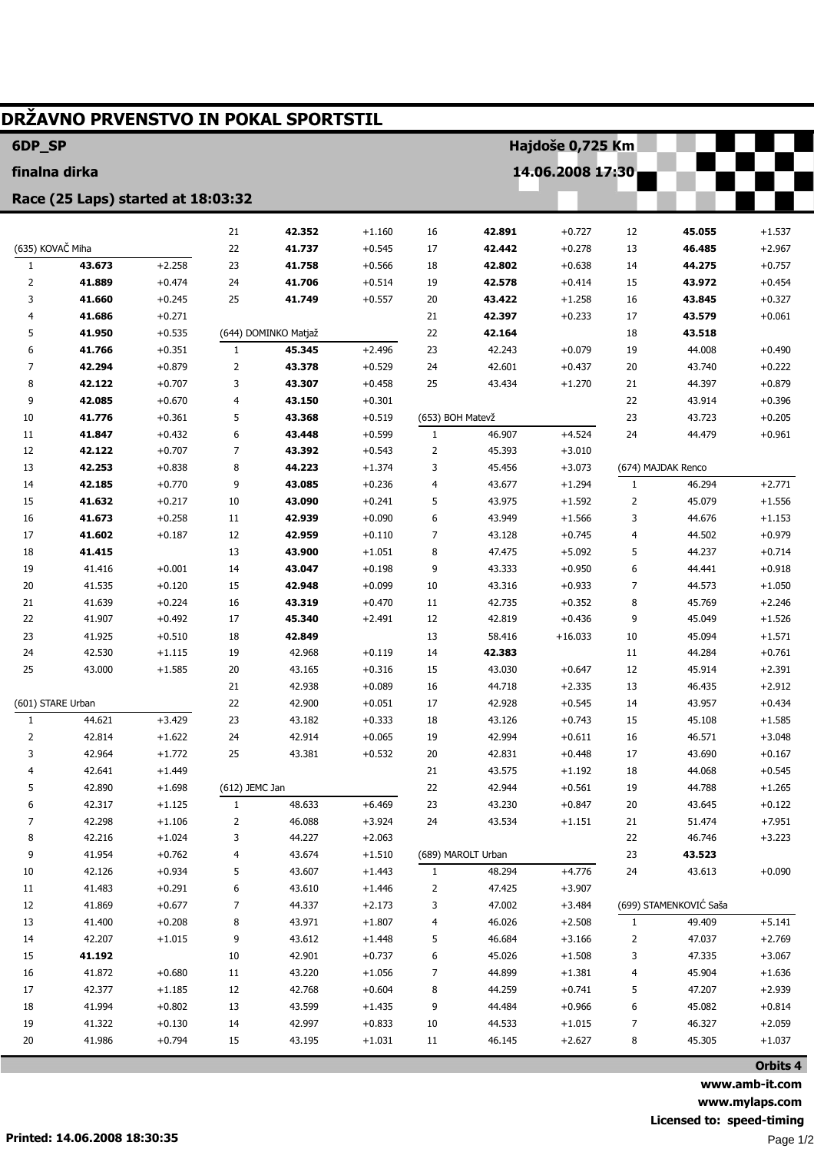|                                    |                  |                      |                          | DRŽAVNO PRVENSTVO IN POKAL SPORTSTIL |                      |                  |                    |                      |              |                        |                      |  |
|------------------------------------|------------------|----------------------|--------------------------|--------------------------------------|----------------------|------------------|--------------------|----------------------|--------------|------------------------|----------------------|--|
| 6DP_SP                             |                  |                      |                          |                                      |                      |                  | Hajdoše 0,725 Km   |                      |              |                        |                      |  |
| finalna dirka                      |                  |                      |                          |                                      | 14.06.2008 17:30     |                  |                    |                      |              |                        |                      |  |
| Race (25 Laps) started at 18:03:32 |                  |                      |                          |                                      |                      |                  |                    |                      |              |                        |                      |  |
|                                    |                  |                      |                          |                                      |                      |                  | 42.891             |                      |              |                        |                      |  |
| (635) KOVAČ Miha                   |                  |                      | 21                       | 42.352                               | $+1.160$             | 16               |                    | $+0.727$             | 12           | 45.055                 | $+1.537$             |  |
| 1                                  | 43.673           | $+2.258$             | 22<br>23                 | 41.737<br>41.758                     | $+0.545$<br>$+0.566$ | 17<br>18         | 42.442<br>42.802   | $+0.278$<br>$+0.638$ | 13<br>14     | 46.485<br>44.275       | $+2.967$<br>$+0.757$ |  |
| 2                                  | 41.889           | $+0.474$             | 24                       | 41.706                               | $+0.514$             | 19               | 42.578             | $+0.414$             | 15           | 43.972                 | $+0.454$             |  |
| 3                                  | 41.660           | $+0.245$             | 25                       | 41.749                               | $+0.557$             | 20               | 43.422             | $+1.258$             | 16           | 43.845                 | $+0.327$             |  |
| 4                                  | 41.686           | $+0.271$             |                          |                                      |                      | 21               | 42.397             | $+0.233$             | 17           | 43.579                 | $+0.061$             |  |
| 5                                  | 41.950           | $+0.535$             |                          | (644) DOMINKO Matjaž                 |                      | 22               | 42.164             |                      | 18           | 43.518                 |                      |  |
| 6                                  | 41.766           | $+0.351$             | $\mathbf{1}$             | 45.345                               | $+2.496$             | 23               | 42.243             | $+0.079$             | 19           | 44.008                 | $+0.490$             |  |
| 7                                  | 42.294           | $+0.879$             | $\overline{2}$           | 43.378                               | $+0.529$             | 24               | 42.601             | $+0.437$             | 20           | 43.740                 | $+0.222$             |  |
| 8                                  | 42.122           | $+0.707$             | 3                        | 43.307                               | $+0.458$             | 25               | 43.434             | $+1.270$             | 21           | 44.397                 | $+0.879$             |  |
| 9                                  | 42.085           | $+0.670$             | $\overline{\mathcal{L}}$ | 43.150                               | $+0.301$             |                  |                    |                      | 22           | 43.914                 | $+0.396$             |  |
| 10                                 | 41.776           | $+0.361$             | 5                        | 43.368                               | $+0.519$             | (653) BOH Matevž |                    |                      | 23           | 43.723                 | $+0.205$             |  |
| 11                                 | 41.847           | $+0.432$             | 6                        | 43.448                               | $+0.599$             | $\mathbf{1}$     | 46.907             | $+4.524$             | 24           | 44.479                 | $+0.961$             |  |
| 12                                 | 42.122           | $+0.707$             | $\overline{7}$           | 43.392                               | $+0.543$             | 2                | 45.393             | $+3.010$             |              |                        |                      |  |
| 13                                 | 42.253           | $+0.838$             | 8                        | 44.223                               | $+1.374$             | 3                | 45.456             | $+3.073$             |              | (674) MAJDAK Renco     |                      |  |
| 14                                 | 42.185           | $+0.770$             | 9                        | 43.085                               | $+0.236$             | 4                | 43.677             | $+1.294$             | $\mathbf{1}$ | 46.294                 | $+2.771$             |  |
| 15                                 | 41.632           | $+0.217$             | 10                       | 43.090                               | $+0.241$             | 5                | 43.975             | $+1.592$             | 2            | 45.079                 | $+1.556$             |  |
| 16                                 | 41.673           | $+0.258$             | 11                       | 42.939                               | $+0.090$             | 6                | 43.949             | $+1.566$             | 3            | 44.676                 | $+1.153$             |  |
| 17                                 | 41.602           | $+0.187$             | 12                       | 42.959                               | $+0.110$             | 7                | 43.128             | $+0.745$             | 4            | 44.502                 | $+0.979$             |  |
| 18                                 | 41.415           |                      | 13                       | 43.900                               | $+1.051$             | 8                | 47.475             | $+5.092$             | 5            | 44.237                 | $+0.714$             |  |
| 19                                 | 41.416           | $+0.001$             | 14                       | 43.047                               | $+0.198$             | 9                | 43.333             | $+0.950$             | 6            | 44.441                 | $+0.918$             |  |
| 20                                 | 41.535           | $+0.120$             | 15                       | 42.948                               | $+0.099$             | 10               | 43.316             | $+0.933$             | 7            | 44.573                 | $+1.050$             |  |
| 21                                 | 41.639           | $+0.224$             | 16                       | 43.319                               | $+0.470$             | 11               | 42.735             | $+0.352$             | 8            | 45.769                 | $+2.246$             |  |
| 22<br>23                           | 41.907           | $+0.492$             | 17                       | 45.340                               | $+2.491$             | 12               | 42.819             | $+0.436$             | 9            | 45.049                 | $+1.526$             |  |
| 24                                 | 41.925<br>42.530 | $+0.510$<br>$+1.115$ | 18<br>19                 | 42.849<br>42.968                     | $+0.119$             | 13<br>14         | 58.416<br>42.383   | $+16.033$            | 10<br>11     | 45.094<br>44.284       | $+1.571$<br>$+0.761$ |  |
| 25                                 | 43.000           | $+1.585$             | 20                       | 43.165                               | $+0.316$             | 15               | 43.030             | $+0.647$             | 12           | 45.914                 | $+2.391$             |  |
|                                    |                  |                      | 21                       | 42.938                               | $+0.089$             | 16               | 44.718             | $+2.335$             | 13           | 46.435                 | $+2.912$             |  |
| (601) STARE Urban                  |                  |                      | 22                       | 42.900                               | $+0.051$             | 17               | 42.928             | $+0.545$             | 14           | 43.957                 | $+0.434$             |  |
| 1                                  | 44.621           | +3.429               | 23                       | 43.182                               | $+0.333$             | 18               | 43.126             | $+0.743$             | 15           | 45.108                 | $+1.585$             |  |
| 2                                  | 42.814           | $+1.622$             | 24                       | 42.914                               | $+0.065$             | 19               | 42.994             | $+0.611$             | 16           | 46.571                 | $+3.048$             |  |
| 3                                  | 42.964           | $+1.772$             | 25                       | 43.381                               | $+0.532$             | 20               | 42.831             | $+0.448$             | 17           | 43.690                 | $+0.167$             |  |
| 4                                  | 42.641           | $+1.449$             |                          |                                      |                      | 21               | 43.575             | $+1.192$             | 18           | 44.068                 | $+0.545$             |  |
| 5                                  | 42.890           | $+1.698$             | (612) JEMC Jan           |                                      |                      | 22               | 42.944             | $+0.561$             | 19           | 44.788                 | $+1.265$             |  |
| 6                                  | 42.317           | $+1.125$             | $\mathbf{1}$             | 48.633                               | $+6.469$             | 23               | 43.230             | $+0.847$             | 20           | 43.645                 | $+0.122$             |  |
| 7                                  | 42.298           | $+1.106$             | 2                        | 46.088                               | $+3.924$             | 24               | 43.534             | $+1.151$             | 21           | 51.474                 | $+7.951$             |  |
| 8                                  | 42.216           | $+1.024$             | 3                        | 44.227                               | $+2.063$             |                  |                    |                      | 22           | 46.746                 | $+3.223$             |  |
| 9                                  | 41.954           | $+0.762$             | 4                        | 43.674                               | $+1.510$             |                  | (689) MAROLT Urban |                      | 23           | 43.523                 |                      |  |
| 10                                 | 42.126           | $+0.934$             | 5                        | 43.607                               | $+1.443$             | 1                | 48.294             | $+4.776$             | 24           | 43.613                 | $+0.090$             |  |
| 11                                 | 41.483           | $+0.291$             | 6                        | 43.610                               | $+1.446$             | 2                | 47.425             | $+3.907$             |              |                        |                      |  |
| 12                                 | 41.869           | $+0.677$             | 7                        | 44.337                               | $+2.173$             | 3                | 47.002             | $+3.484$             |              | (699) STAMENKOVIĆ Saša |                      |  |
| 13                                 | 41.400           | $+0.208$             | 8                        | 43.971                               | $+1.807$             | 4                | 46.026             | $+2.508$             | $\mathbf{1}$ | 49.409                 | $+5.141$             |  |
| 14                                 | 42.207           | $+1.015$             | 9                        | 43.612                               | $+1.448$             | 5                | 46.684             | $+3.166$             | 2            | 47.037                 | $+2.769$             |  |
| 15                                 | 41.192           |                      | 10                       | 42.901                               | $+0.737$             | 6                | 45.026             | $+1.508$             | 3            | 47.335                 | $+3.067$             |  |
| $16\,$                             | 41.872           | $+0.680$             | 11                       | 43.220                               | $+1.056$             | 7                | 44.899             | $+1.381$             | 4            | 45.904                 | $+1.636$             |  |
| 17                                 | 42.377           | $+1.185$             | 12                       | 42.768                               | $+0.604$             | 8                | 44.259             | $+0.741$             | 5            | 47.207                 | $+2.939$             |  |
| 18                                 | 41.994           | $+0.802$             | 13                       | 43.599                               | $+1.435$             | 9                | 44.484             | $+0.966$             | 6            | 45.082                 | $+0.814$             |  |
| 19                                 | 41.322           | $+0.130$             | 14                       | 42.997                               | $+0.833$             | 10               | 44.533             | $+1.015$             | 7            | 46.327                 | $+2.059$             |  |
| 20                                 | 41.986           | $+0.794$             | 15                       | 43.195                               | $+1.031$             | 11               | 46.145             | $+2.627$             | 8            | 45.305                 | $+1.037$             |  |
|                                    |                  |                      |                          |                                      |                      |                  |                    |                      |              |                        | Orbits 4             |  |

**www.amb-it.com www.mylaps.com Licensed to: speed-timing** Page 1/2